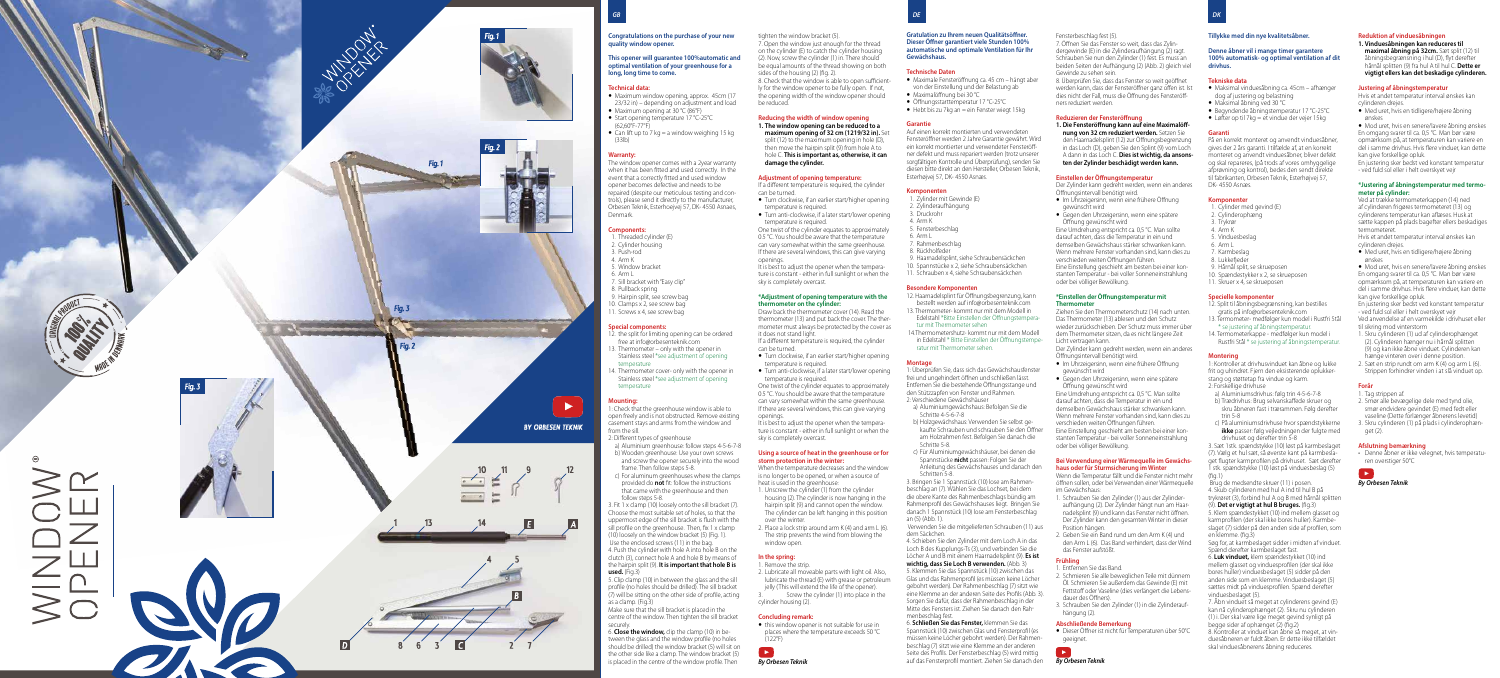If a different temperature is required, the cylinder can be turned. • Turn clockwise, if an earlier start/higher opening

• Turn anti-clockwise, if a later start/lower opening temperature is required. One twist of the cylinder equates to approximately

It is best to adjust the opener when the temperature is constant - either in full sunlight or when the sky is completely overcast.

- Turn clockwise, if an earlier start/higher opening temperature is required.
- Turn anti-clockwise, if a later start/lower opening temperature is required. One twist of the cylinder equates to approximately

tighten the window bracket (5). 7. Open the window just enough for the thread on the cylinder (E) to catch the cylinder housing (2). Now, screw the cylinder (1) in. There should be equal amounts of the thread showing on both sides of the housing (2) (fig. 2). 8. Check that the window is able to open sufficient-

- y Maximale Fensteröffnung ca. 45 cm hängt aber von der Einstellung und der Belastung ab
- Maximalöffnung bei 30 °C ● Öffnungsstarttemperatur 17 °C-25°C
- $\bullet$  Hebt bis zu 7kg an = ein Fenster wiegt 15kg

ly for the window opener to be fully open. If not, the opening width of the window opener should be reduced.

- 1. Zylinder mit Gewinde (E)
- 2. Zylinderaufhängung
- 3. Druckrohr
- 4. Arm K 5. Fensterbeschlag
- $6$  Arm  $l$
- 7. Rahmenbeschlag
- 8. Rückholfeder
- 9. Haarnadelsplint, siehe Schraubensäckchen
- 10. Spannstücke x 2, siehe Schraubensäckchen
- 1. Schrauben x 4, siehe Schraubensäckchen

# **Reducing the width of window opening 1. The window opening can be reduced to a**

**maximum opening of 32 cm (1219/32 in).** Set split (12) to the maximum opening in hole (D), then move the hairpin split (9) from hole A to hole C. **This is important as, otherwise, it can damage the cylinder.**

# **Adjustment of opening temperature:**

temperature is required.

0.5 °C. You should be aware that the temperature can vary somewhat within the same greenhouse. If there are several windows, this can give varying openings.

> 5. Klemmen Sie das Spannstück (10) zwischen das Glas und das Rahmenprofil (es müssen keine Löcher gebohrt werden). Der Rahmenbeschlag (7) sitzt wie eine Klemme an der anderen Seite des Profils (Abb. 3). Sorgen Sie dafür, dass der Rahmenbeschlag in der Mitte des Fensters ist. Ziehen Sie danach den Rah-

# **\*Adjustment of opening temperature with the thermometer on the cylinder:**

Draw back the thermometer cover (14). Read the thermometer (13) and put back the cover. The thermometer must always be protected by the cover as it does not stand light.

If a different temperature is required, the cylinder can be turned.

0.5 °C. You should be aware that the temperature can vary somewhat within the same greenhouse. If there are several windows, this can give varying openings.

It is best to adjust the opener when the temperature is constant - either in full sunlight or when the sky is completely overcast.

- Im Uhrzeigersinn, wenn eine frühere Öffnung gewünscht wird
- Gegen den Uhrzeigersinn, wenn eine spätere Öffnung gewünscht wird

# **Using a source of heat in the greenhouse or for storm protection in the winter:**

When the temperature decreases and the window is no longer to be opened, or when a source of heat is used in the greenhouse:

- Der Zylinder kann gedreht werden, wenn ein anderes Öffnungsintervall benötigt wird. • Im Uhrzeigersinn, wenn eine frühere Öffnung
- gewünscht wird
- Gegen den Uhrzeigersinn, wenn eine spätere

- 1. Unscrew the cylinder (1) from the cylinder housing (2). The cylinder is now hanging in the hairpin split (9) and cannot open the window. The cylinder can be left hanging in this position over the winter.
- 2. Place a lock strip around arm K (4) and arm L (6). The strip prevents the wind from blowing the window open.

# **In the spring:**

- 1. Remove the strip.
- 2. Lubricate all moveable parts with light oil. Also, lubricate the thread (E) with grease or petroleum jelly (This will extend the life of the opener). Screw the cylinder (1) into place in the
- cylinder housing (2).

# **Concluding remark:**

*By Orbesen Teknik*

• this window opener is not suitable for use in places where the temperature exceeds 50 °C  $(122^{\circ}F)$ 

**Gratulation zu Ihrem neuen Qualitätsöffner. Dieser Öffner garantiert viele Stunden 100% automatische und optimale Ventilation für Ihr Gewächshaus.**

# **Technische Daten**

• Maksimal åbning ved 30 °C y Begyndende åbningstemperatur 17 °C-25°C

# **Garantie**

Auf einen korrekt montierten und verwendeten Fensteröffner werden 2 Jahre Garantie gewährt. Wird ein korrekt montierter und verwendeter Fensteröffner defekt und muss repariert werden (trotz unserer sorgfältigen Kontrolle und Überprüfung), senden Sie diesen bitte direkt an den Hersteller, Orbesen Teknik, Esterhøjvej 57, DK- 4550 Asnæs.

### **Komponenten**

### **Besondere Komponenten**

- 12. Haarnadelsplint für Öffnungsbegrenzung, kann bestellt werden auf info@orbesenteknik.com
- 13. Thermometer- kommt nur mit dem Modell in Edelstahl \*Bitte Einstellen der Öffnungstemperatur mit Thermometer sehen
- 14.Thermometershutz- kommt nur mit dem Modell in Edelstahl \* Bitte Einstellen der Öffnungstemperatur mit Thermometer sehen.

# **Montage**

1: Überprüfen Sie, dass sich das Gewächshausfenster frei und ungehindert öffnen und schließen lässt. Entfernen Sie die bestehende Öffnungsstange und den Stützzapfen von Fenster und Rahmen.

- 2: Verschiedene Gewächshäuser a) Aluminiumgewächshaus: Befolgen Sie die Schritte 4-5-6-7-8
- b) Holzgewächshaus: Verwenden Sie selbst gekaufte Schrauben und schrauben Sie den Öffner am Holzrahmen fest. Befolgen Sie danach die Schritte 5-8.
- c) Für Aluminiumgewächshäuser, bei denen die Spannstücke **nicht** passen: Folgen Sie der Anleitung des Gewächshauses und danach den Schritten 5-8.

• Mod uret, hvis en senere/lavere åbning ønskes En omgang svarer til ca. 0,5 °C. Man bør være opmærksom på, at temperaturen kan variere en del i samme drivhus. Hvis flere vinduer, kan dette kan give forskellige opluk.

3. Bringen Sie 1 Spannstück (10) lose am Rahmenbeschlag an (7). Wählen Sie das Lochset, bei dem die obere Kante des Rahmenbeschlags bündig am Rahmenprofil des Gewächshauses liegt. Bringen Sie danach 1 Spannstück (10) lose am Fensterbeschlag an (5) (Abb. 1).

 Verwenden Sie die mitgelieferten Schrauben (11) aus dem Säckchen.

4. Schieben Sie den Zylinder mit dem Loch A in das Loch B des Kupplungs-Ts (3), und verbinden Sie die Löcher A und B mit einem Haarnadelsplint (9). **Es ist wichtig, dass Sie Loch B verwenden.** (Abb. 3)

# menbeschlag fest. 6. **Schließen Sie das Fenster,** klemmen Sie das

Spannstück (10) zwischen Glas und Fensterprofil (es müssen keine Löcher gebohrt werden). Der Rahmenbeschlag (7) sitzt wie eine Klemme an der anderen Seite des Profils. Der Fensterbeschlag (5) wird mittig auf das Fensterprofil montiert. Ziehen Sie danach den

# Fensterbeschlag fest (5).

7. Öffnen Sie das Fenster so weit, dass das Zylindergewinde (E) in die Zylinderaufhängung (2) ragt. Schrauben Sie nun den Zylinder (1) fest. Es muss an beiden Seiten der Aufhängung (2) (Abb. 2) gleich viel Gewinde zu sehen sein.

8. Überprüfen Sie, dass das Fenster so weit geöffnet werden kann, dass der Fensteröffner ganz offen ist. Ist dies nicht der Fall, muss die Öffnung des Fensteröffners reduziert werden.

# **Reduzieren der Fensteröffnung**

**1. Die Fensteröffnung kann auf eine Maximalöffnung von 32 cm reduziert werden.** Setzen Sie den Haarnadelsplint (12) zur Öffnungsbegrenzung in das Loch (D), geben Sie den Splint (9) vom Loch A dann in das Loch C. **Dies ist wichtig, da ansonsten der Zylinder beschädigt werden kann.**

# **Einstellen der Öffnungstemperatur**

Der Zylinder kann gedreht werden, wenn ein anderes Öffnungsintervall benötigt wird.



Eine Umdrehung entspricht ca. 0,5 °C. Man sollte darauf achten, dass die Temperatur in ein und demselben Gewächshaus stärker schwanken kann. Wenn mehrere Fenster vorhanden sind, kann dies zu verschieden weiten Öffnungen führen. Eine Einstellung geschieht am besten bei einer konstanten Temperatur - bei voller Sonneneinstrahlung

oder bei völliger Bewölkung. **\*Einstellen der Öffnungstemperatur mit** 

# **Thermometer**

Ziehen Sie den Thermometerschutz (14) nach unten. Das Thermometer (13) ablesen und den Schutz wieder zurückschieben. Der Schutz muss immer über dem Thermometer sitzen, da es nicht längere Zeit Licht vertragen kann.

Öffnung gewünscht wird Eine Umdrehung entspricht ca. 0,5 °C. Man sollte darauf achten, dass die Temperatur in ein und demselben Gewächshaus stärker schwanken kann. Wenn mehrere Fenster vorhanden sind, kann dies zu verschieden weiten Öffnungen führen. Eine Einstellung geschieht am besten bei einer konstanten Temperatur - bei voller Sonneneinstrahlung oder bei völliger Bewölkung.

# **Bei Verwendung einer Wärmequelle im Gewächshaus oder für Sturmsicherung im Winter**

Wenn die Temperatur fällt und die Fenster nicht mehr öffnen sollen, oder bei Verwenden einer Wärmequelle im Gewächshaus:

- 1. Schrauben Sie den Zylinder (1) aus der Zylinderaufhängung (2). Der Zylinder hängt nun am Haarnadelsplint (9) und kann das Fenster nicht öffnen. Der Zylinder kann den gesamten Winter in dieser Position hängen.
- 2. Geben Sie ein Band rund um den Arm K (4) und den Arm L (6). Das Band verhindert, dass der Wind das Fenster aufstößt.

# **Frühling**

### 1. Entfernen Sie das Band.

- 2. Schmieren Sie alle beweglichen Teile mit dünnem Öl. Schmieren Sie außerdem das Gewinde (E) mit Fettstoff oder Vaseline (dies verlängert die Lebensdauer des Öffners).
- 3. Schrauben Sie den Zylinder (1) in die Zylinderaufhängung (2).

# **Abschließende Bemerkung**

● Dieser Öffner ist nicht für Temperaturen über 50°C geeignet



# **Tillykke med din nye kvalitetsåbner.**

**Denne åbner vil i mange timer garantere 100% automatisk- og optimal ventilation af dit drivhus.**

### **Tekniske data**

y Maksimal vinduesåbning ca. 45cm – afhænger dog af justering og belastning

• Løfter op til 7kg = et vindue der vejer 15kg

**Garanti**

På en korrekt monteret og anvendt vinduesåbner, gives der 2 års garanti. I tilfælde af, at en korrekt monteret og anvendt vinduesåbner, bliver defekt og skal repareres, (på trods af vores omhyggelige afprøvning og kontrol), bedes den sendt direkte til fabrikanten, Orbesen Teknik, Esterhøjvej 57,

DK- 4550 Asnæs. **Komponenter**

> 1. Cylinder med gevind (E) 2. Cylinderophæng 3. Trykrør 4. Arm K 5. Vinduesbeslag 6. Arm L 7. Karmbeslag 8. Lukkefjeder

9. Hårnål split, se skrueposen 10. Spændestykker x 2, se skrueposen 11. Skruer x 4, se skrueposen **Specielle komponenter**

12. Split til åbningsbegrænsning, kan bestilles gratis på info@orbesenteknik.com 13. Termometer- medfølger kun model i Rustfri Stål \* se justering af åbningstemperatur. 14. Termometerkappe - medfølger kun model i Rustfri Stål \* se justering af åbningstemperatur.

**Montering**

1: Kontroller at drivhusvinduet kan åbne og lukke frit og uhindret. Fjern den eksisterende oplukker-

stang og støttetap fra vindue og karm.

2: Forskellige drivhuse

a) Aluminiumsdrivhus: følg trin 4-5-6-7-8 b) Trædrivhus: Brug selvanskaffede skruer og skru åbneren fast i trærammen. Følg derefter

trin 5-8

c) På aluminiumsdrivhuse hvor spændstykkerne **ikke** passer: følg vejledningen der fulgte med

drivhuset og derefter trin 5-8

3. Sæt 1stk. spændstykke (10) løst på karmbeslaget (7). Vælg et hul sæt, så øverste kant på karmbeslaget flugter karmprofilen på drivhuset. Sæt derefter 1 stk. spændstykke (10) løst på vinduesbeslag (5)

(fig.1)

 Brug de medsendte skruer (11) i posen. 4. Skub cylinderen med hul A ind til hul B på trykrøret (3), forbind hul A og B med hårnål splitten (9). **Det er vigtigt at hul B bruges.** (fig.3) 5. Klem spændestykket (10) ind mellem glasset og karmprofilen (der skal ikke bores huller). Karmbeslaget (7) sidder på den anden side af profilen, som

en klemme. (fig.3)

Søg for, at karmbeslaget sidder i midten af vinduet.

Spænd derefter karmbeslaget fast. 6. **Luk vinduet,** klem spændestykket (10) ind mellem glasset og vinduesprofilen (der skal ikke bores huller) vinduesbeslaget (5) sidder på den anden side som en klemme. Vinduesbeslaget (5) sættes midt på vinduesprofilen. Spænd derefter

vinduesbeslaget (5).

7. Åbn vinduet så meget at cylinderens gevind (E) kan nå cylinderophænget (2). Skru nu cylinderen (1) i. Der skal være lige meget gevind synligt på

begge sider af ophænget (2) (fig.2)

8. Kontroller at vinduet kan åbne så meget, at vinduesåbneren er fuldt åben. Er dette ikke tilfældet skal vinduesåbnerens åbning reduceres.

# **Reduktion af vinduesåbningen**

**1. Vinduesåbningen kan reduceres til maximal åbning på 32cm.** Sæt split (12) til åbningsbegrænsning i hul (D), flyt derefter hårnål splitten (9) fra hul A til hul C. **Dette er vigtigt ellers kan det beskadige cylinderen.**

### **Justering af åbningstemperatur**

Hvis et andet temperatur interval ønskes kan

cylinderen drejes.

y Med uret, hvis en tidligere/højere åbning

ønskes

En justering sker bedst ved konstant temperatur - ved fuld sol eller i helt overskyet vejr

### **\*Justering af åbningstemperatur med termometer på cylinder:**

Ved at trække termometerkappen (14) ned af cylinderen frigøres termometeret (13) og cylinderens temperatur kan aflæses. Husk at sætte kappen på plads bagefter ellers beskadiges

termometeret.

Hvis et andet temperatur interval ønskes kan

cylinderen drejes.

y Med uret, hvis en tidligere/højere åbning

ønskes

y Mod uret, hvis en senere/lavere åbning ønskes En omgang svarer til ca. 0,5 °C. Man bør være opmærksom på, at temperaturen kan variere en del i samme drivhus. Hvis flere vinduer, kan dette kan give forskellige opluk.

En justering sker bedst ved konstant temperatur - ved fuld sol eller i helt overskyet vejr Ved anvendelse af en varmekilde i drivhuset eller

til sikring mod vinterstorm

1. Skru cylinderen (1) ud af cylinderophænget (2). Cylinderen hænger nu i hårnål splitten (9) og kan ikke åbne vinduet. Cylinderen kan hænge vinteren over i denne position. 2. Sæt en strip rundt om arm K (4) og arm L (6).

Strippen forhindrer vinden i at slå vinduet op.

**Forår**

1. Tag strippen af.

2. Smør alle bevægelige dele med tynd olie, smør endvidere gevindet (E) med fedt eller vaseline (Dette forlænger åbnerens levetid) 3. Skru cylinderen (1) på plads i cylinderophæn-

get (2).

- 15

# **Afslutning bemærkning**

• Denne åbner er ikke velegnet, hvis temperaturen overstiger 50°C

*By Orbesen Teknik*